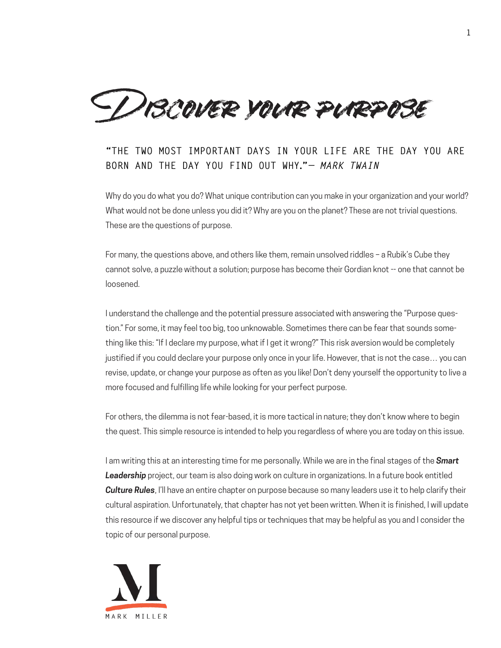Discover your purpose

## **"THE TWO MOST IMPORTANT DAYS IN YOUR LIFE ARE THE DAY YOU ARE BORN AND THE DAY YOU FIND OUT WHY."***— MARK TWAIN*

Why do you do what you do? What unique contribution can you make in your organization and your world? What would not be done unless you did it? Why are you on the planet? These are not trivial questions. These are the questions of purpose.

For many, the questions above, and others like them, remain unsolved riddles – a Rubik's Cube they cannot solve, a puzzle without a solution; purpose has become their Gordian knot -- one that cannot be loosened.

I understand the challenge and the potential pressure associated with answering the "Purpose question." For some, it may feel too big, too unknowable. Sometimes there can be fear that sounds something like this: "If I declare my purpose, what if I get it wrong?" This risk aversion would be completely justified if you could declare your purpose only once in your life. However, that is not the case… you can revise, update, or change your purpose as often as you like! Don't deny yourself the opportunity to live a more focused and fulfilling life while looking for your perfect purpose.

For others, the dilemma is not fear-based, it is more tactical in nature; they don't know where to begin the quest. This simple resource is intended to help you regardless of where you are today on this issue.

I am writing this at an interesting time for me personally. While we are in the final stages of the *Smart Leadership* project, our team is also doing work on culture in organizations. In a future book entitled *Culture Rules*, I'll have an entire chapter on purpose because so many leaders use it to help clarify their cultural aspiration. Unfortunately, that chapter has not yet been written. When it is finished, I will update this resource if we discover any helpful tips or techniques that may be helpful as you and I consider the topic of our personal purpose.

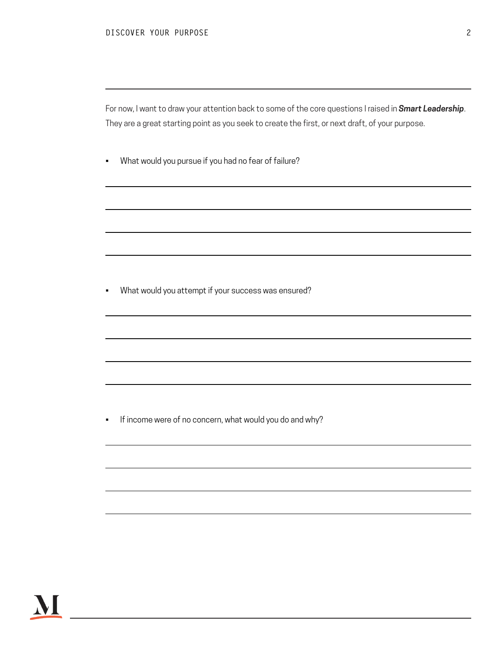For now, I want to draw your attention back to some of the core questions I raised in *Smart Leadership*. They are a great starting point as you seek to create the first, or next draft, of your purpose.

• What would you pursue if you had no fear of failure?

• What would you attempt if your success was ensured?

• If income were of no concern, what would you do and why?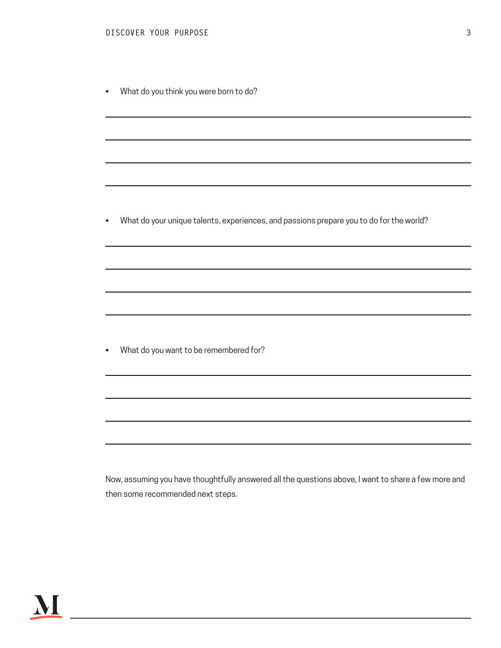• What do you think you were born to do?

• What do your unique talents, experiences, and passions prepare you to do for the world?

• What do you want to be remembered for?

Now, assuming you have thoughtfully answered all the questions above, I want to share a few more and then some recommended next steps.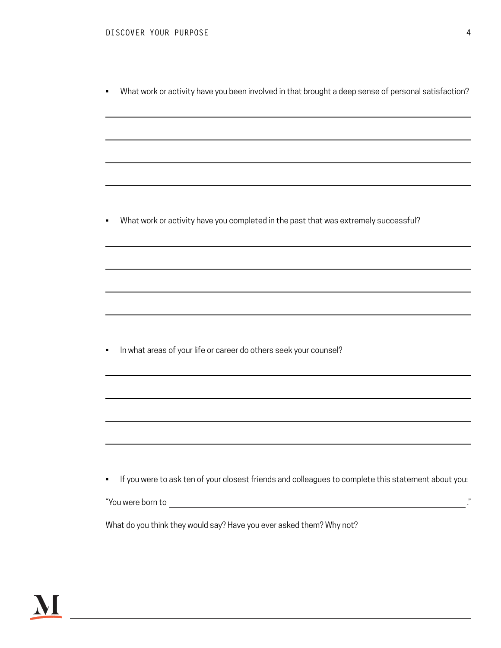• What work or activity have you been involved in that brought a deep sense of personal satisfaction?

• What work or activity have you completed in the past that was extremely successful?

• In what areas of your life or career do others seek your counsel?

• If you were to ask ten of your closest friends and colleagues to complete this statement about you:

"You were born to ."

What do you think they would say? Have you ever asked them? Why not?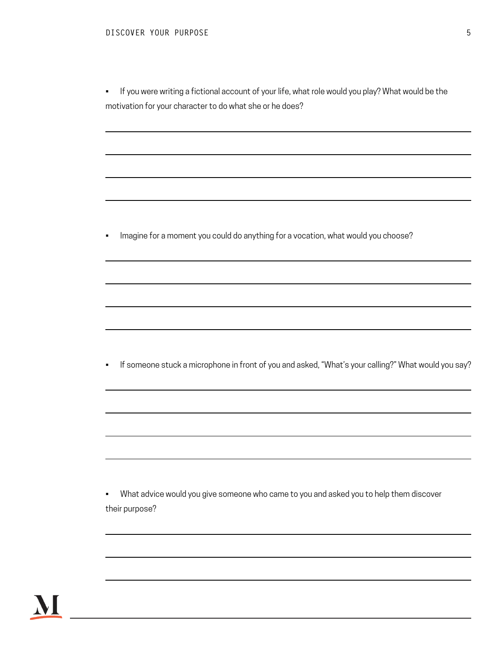• If you were writing a fictional account of your life, what role would you play? What would be the motivation for your character to do what she or he does?

• Imagine for a moment you could do anything for a vocation, what would you choose?

• If someone stuck a microphone in front of you and asked, "What's your calling?" What would you say?

• What advice would you give someone who came to you and asked you to help them discover their purpose?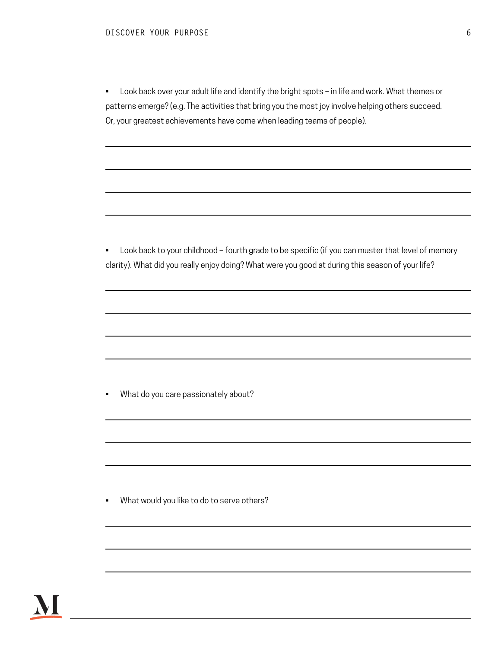• Look back over your adult life and identify the bright spots – in life and work. What themes or patterns emerge? (e.g. The activities that bring you the most joy involve helping others succeed. Or, your greatest achievements have come when leading teams of people).

• Look back to your childhood – fourth grade to be specific (if you can muster that level of memory clarity). What did you really enjoy doing? What were you good at during this season of your life?

• What do you care passionately about?

• What would you like to do to serve others?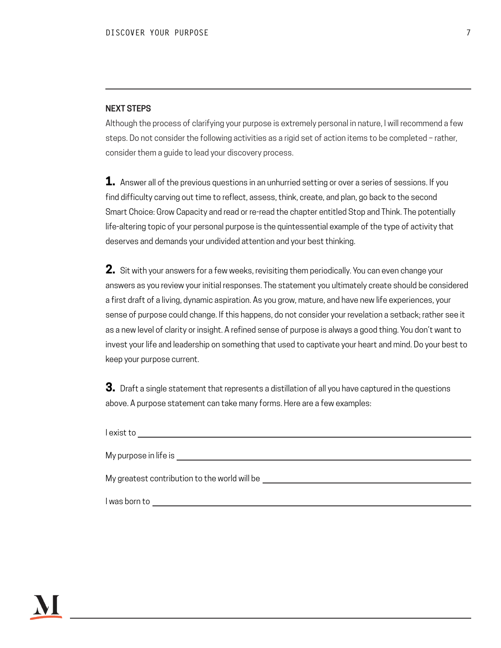## **NEXT STEPS**

Although the process of clarifying your purpose is extremely personal in nature, I will recommend a few steps. Do not consider the following activities as a rigid set of action items to be completed – rather, consider them a guide to lead your discovery process.

**1.** Answer all of the previous questions in an unhurried setting or over a series of sessions. If you find difficulty carving out time to reflect, assess, think, create, and plan, go back to the second Smart Choice: Grow Capacity and read or re-read the chapter entitled Stop and Think. The potentially life-altering topic of your personal purpose is the quintessential example of the type of activity that deserves and demands your undivided attention and your best thinking.

**2.** Sit with your answers for a few weeks, revisiting them periodically. You can even change your answers as you review your initial responses. The statement you ultimately create should be considered a first draft of a living, dynamic aspiration. As you grow, mature, and have new life experiences, your sense of purpose could change. If this happens, do not consider your revelation a setback; rather see it as a new level of clarity or insight. A refined sense of purpose is always a good thing. You don't want to invest your life and leadership on something that used to captivate your heart and mind. Do your best to keep your purpose current.

**3.** Draft a single statement that represents a distillation of all you have captured in the questions above. A purpose statement can take many forms. Here are a few examples:

I exist to My purpose in life is My greatest contribution to the world will be I was born to